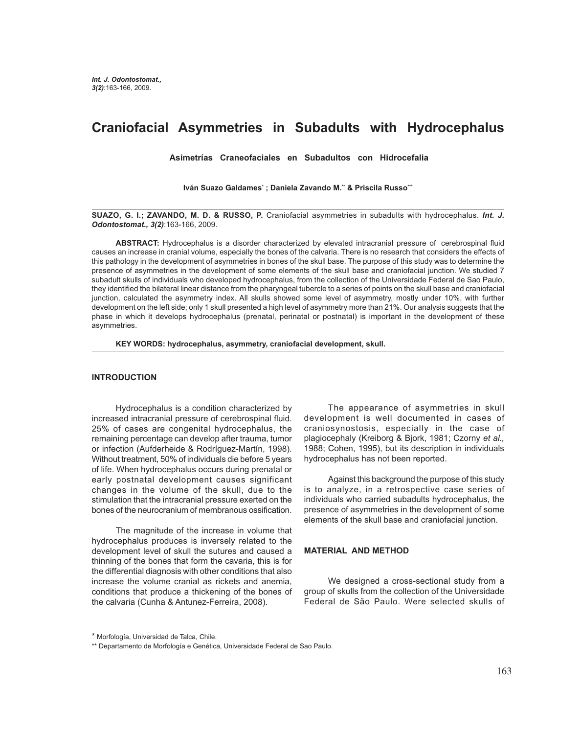# **Craniofacial Asymmetries in Subadults with Hydrocephalus**

 **Asimetrías Craneofaciales en Subadultos con Hidrocefalia**

Iván Suazo Galdames\* ; Daniela Zavando M.\*\* & Priscila Russo\*\*\*

**SUAZO, G. I.; ZAVANDO, M. D. & RUSSO, P.** Craniofacial asymmetries in subadults with hydrocephalus. *Int. J. Odontostomat., 3(2)*:163-166, 2009.

**ABSTRACT:** Hydrocephalus is a disorder characterized by elevated intracranial pressure of cerebrospinal fluid causes an increase in cranial volume, especially the bones of the calvaria. There is no research that considers the effects of this pathology in the development of asymmetries in bones of the skull base. The purpose of this study was to determine the presence of asymmetries in the development of some elements of the skull base and craniofacial junction. We studied 7 subadult skulls of individuals who developed hydrocephalus, from the collection of the Universidade Federal de Sao Paulo, they identified the bilateral linear distance from the pharyngeal tubercle to a series of points on the skull base and craniofacial junction, calculated the asymmetry index. All skulls showed some level of asymmetry, mostly under 10%, with further development on the left side; only 1 skull presented a high level of asymmetry more than 21%. Our analysis suggests that the phase in which it develops hydrocephalus (prenatal, perinatal or postnatal) is important in the development of these asymmetries.

**KEY WORDS: hydrocephalus, asymmetry, craniofacial development, skull.**

## **INTRODUCTION**

Hydrocephalus is a condition characterized by increased intracranial pressure of cerebrospinal fluid. 25% of cases are congenital hydrocephalus, the remaining percentage can develop after trauma, tumor or infection (Aufderheide & Rodríguez-Martín, 1998). Without treatment, 50% of individuals die before 5 years of life. When hydrocephalus occurs during prenatal or early postnatal development causes significant changes in the volume of the skull, due to the stimulation that the intracranial pressure exerted on the bones of the neurocranium of membranous ossification.

The magnitude of the increase in volume that hydrocephalus produces is inversely related to the development level of skull the sutures and caused a thinning of the bones that form the cavaria, this is for the differential diagnosis with other conditions that also increase the volume cranial as rickets and anemia, conditions that produce a thickening of the bones of the calvaria (Cunha & Antunez-Ferreira, 2008).

 The appearance of asymmetries in skull development is well documented in cases of craniosynostosis, especially in the case of plagiocephaly (Kreiborg & Bjork, 1981; Czorny *et al.,* 1988; Cohen, 1995), but its description in individuals hydrocephalus has not been reported.

Against this background the purpose of this study is to analyze, in a retrospective case series of individuals who carried subadults hydrocephalus, the presence of asymmetries in the development of some elements of the skull base and craniofacial junction.

## **MATERIAL AND METHOD**

We designed a cross-sectional study from a group of skulls from the collection of the Universidade Federal de São Paulo. Were selected skulls of

<sup>\*</sup> Morfología, Universidad de Talca, Chile.

<sup>\*\*</sup> Departamento de Morfología e Genética, Universidade Federal de Sao Paulo.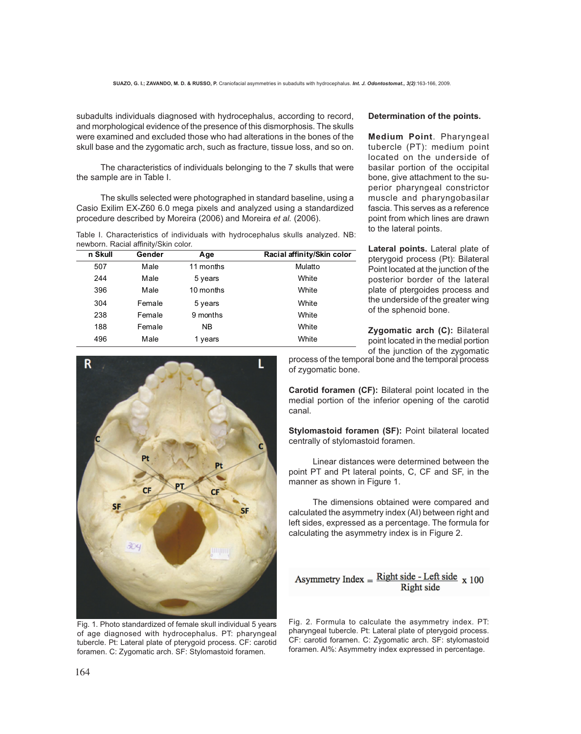subadults individuals diagnosed with hydrocephalus, according to record, and morphological evidence of the presence of this dismorphosis. The skulls were examined and excluded those who had alterations in the bones of the skull base and the zygomatic arch, such as fracture, tissue loss, and so on.

The characteristics of individuals belonging to the 7 skulls that were the sample are in Table I.

The skulls selected were photographed in standard baseline, using a Casio Exilim EX-Z60 6.0 mega pixels and analyzed using a standardized procedure described by Moreira (2006) and Moreira *et al.* (2006).

Table I. Characteristics of individuals with hydrocephalus skulls analyzed. NB: newborn. Racial affinity/Skin color.

| n Skull | Gender | Age       | Racial affinity/Skin color |
|---------|--------|-----------|----------------------------|
| 507     | Male   | 11 months | Mulatto                    |
| 244     | Male   | 5 years   | White                      |
| 396     | Male   | 10 months | White                      |
| 304     | Female | 5 years   | White                      |
| 238     | Female | 9 months  | White                      |
| 188     | Female | NB.       | White                      |
| 496     | Male   | 1 years   | White                      |

#### **Determination of the points.**

**Medium Point**. Pharyngeal tubercle (PT): medium point located on the underside of basilar portion of the occipital bone, give attachment to the superior pharyngeal constrictor muscle and pharyngobasilar fascia. This serves as a reference point from which lines are drawn to the lateral points.

**Lateral points.** Lateral plate of pterygoid process (Pt): Bilateral Point located at the junction of the posterior border of the lateral plate of ptergoides process and the underside of the greater wing of the sphenoid bone.

**Zygomatic arch (C):** Bilateral point located in the medial portion of the junction of the zygomatic



Fig. 1. Photo standardized of female skull individual 5 years of age diagnosed with hydrocephalus. PT: pharyngeal tubercle. Pt: Lateral plate of pterygoid process. CF: carotid foramen. C: Zygomatic arch. SF: Stylomastoid foramen.

process of the temporal bone and the temporal process of zygomatic bone.

**Carotid foramen (CF):** Bilateral point located in the medial portion of the inferior opening of the carotid canal.

**Stylomastoid foramen (SF):** Point bilateral located centrally of stylomastoid foramen.

Linear distances were determined between the point PT and Pt lateral points, C, CF and SF, in the manner as shown in Figure 1.

The dimensions obtained were compared and calculated the asymmetry index (AI) between right and left sides, expressed as a percentage. The formula for calculating the asymmetry index is in Figure 2.

## Asymmetry Index =  $\frac{\text{Right side} - \text{Left side}}{\text{side}}$  x 100 **Right** side

Fig. 2. Formula to calculate the asymmetry index. PT: pharyngeal tubercle. Pt: Lateral plate of pterygoid process. CF: carotid foramen. C: Zygomatic arch. SF: stylomastoid foramen. AI%: Asymmetry index expressed in percentage.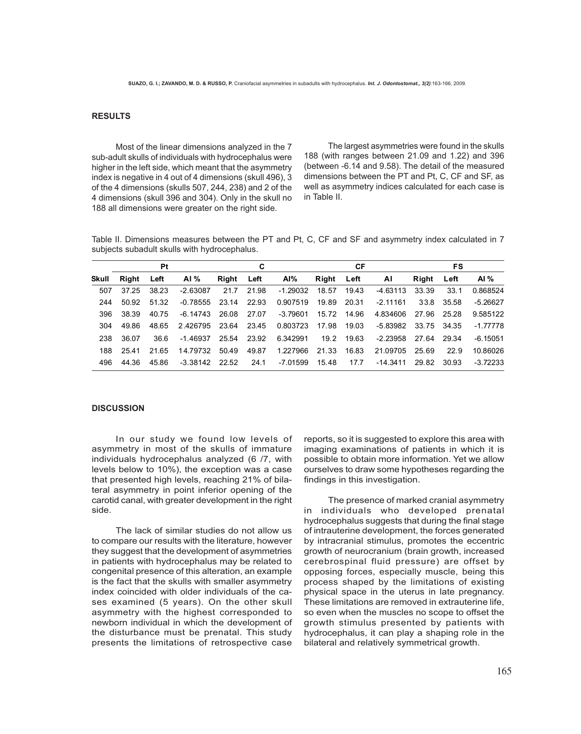### **RESULTS**

Most of the linear dimensions analyzed in the 7 sub-adult skulls of individuals with hydrocephalus were higher in the left side, which meant that the asymmetry index is negative in 4 out of 4 dimensions (skull 496), 3 of the 4 dimensions (skulls 507, 244, 238) and 2 of the 4 dimensions (skull 396 and 304). Only in the skull no 188 all dimensions were greater on the right side.

The largest asymmetries were found in the skulls 188 (with ranges between 21.09 and 1.22) and 396 (between -6.14 and 9.58). The detail of the measured dimensions between the PT and Pt, C, CF and SF, as well as asymmetry indices calculated for each case is in Table II.

Table II. Dimensions measures between the PT and Pt, C, CF and SF and asymmetry index calculated in 7 subjects subadult skulls with hydrocephalus.

|       | <b>Pt</b> |       | C          |       | СF    |            |            | FS    |            |       |       |            |
|-------|-----------|-------|------------|-------|-------|------------|------------|-------|------------|-------|-------|------------|
| Skull | Riaht     | Left  | AI $%$     | Right | Left  | AI%        | Right Left |       | - Al       | Riaht | Left  | Al $%$     |
| 507   | 37.25     | 38.23 | $-2.63087$ | 21.7  | 21.98 | $-1.29032$ | 18.57      | 19.43 | -4.63113   | 33.39 | 33.1  | 0.868524   |
| 244   | 50.92     | 51.32 | $-0.78555$ | 23.14 | 22.93 | 0.907519   | 19.89      | 20.31 | $-2.11161$ | 33.8  | 35.58 | $-5.26627$ |
| 396   | 38.39     | 40.75 | -6.14743   | 26.08 | 27.07 | $-3.79601$ | 15.72      | 14.96 | 4.834606   | 27.96 | 25.28 | 9.585122   |
| 304   | 49.86     | 48.65 | 2.426795   | 23.64 | 23.45 | 0.803723   | 17.98      | 19.03 | -5.83982   | 33.75 | 34.35 | -1.77778   |
| 238   | 36.07     | 36.6  | $-1.46937$ | 25.54 | 23.92 | 6.342991   | 19.2       | 19.63 | $-2.23958$ | 27.64 | 29.34 | $-6.15051$ |
| 188   | 25.41     | 21.65 | 14.79732   | 50.49 | 49.87 | 1.227966   | 21.33      | 16.83 | 21.09705   | 25.69 | 22.9  | 10.86026   |
| 496   | 44.36     | 45.86 | $-3.38142$ | 22.52 | 24.1  | -7.01599   | 15.48      | 17.7  | $-14.3411$ | 29.82 | 30.93 | $-3.72233$ |

## **DISCUSSION**

In our study we found low levels of asymmetry in most of the skulls of immature individuals hydrocephalus analyzed (6 /7, with levels below to 10%), the exception was a case that presented high levels, reaching 21% of bilateral asymmetry in point inferior opening of the carotid canal, with greater development in the right side.

The lack of similar studies do not allow us to compare our results with the literature, however they suggest that the development of asymmetries in patients with hydrocephalus may be related to congenital presence of this alteration, an example is the fact that the skulls with smaller asymmetry index coincided with older individuals of the cases examined (5 years). On the other skull asymmetry with the highest corresponded to newborn individual in which the development of the disturbance must be prenatal. This study presents the limitations of retrospective case

reports, so it is suggested to explore this area with imaging examinations of patients in which it is possible to obtain more information. Yet we allow ourselves to draw some hypotheses regarding the findings in this investigation.

The presence of marked cranial asymmetry in individuals who developed prenatal hydrocephalus suggests that during the final stage of intrauterine development, the forces generated by intracranial stimulus, promotes the eccentric growth of neurocranium (brain growth, increased cerebrospinal fluid pressure) are offset by opposing forces, especially muscle, being this process shaped by the limitations of existing physical space in the uterus in late pregnancy. These limitations are removed in extrauterine life, so even when the muscles no scope to offset the growth stimulus presented by patients with hydrocephalus, it can play a shaping role in the bilateral and relatively symmetrical growth.